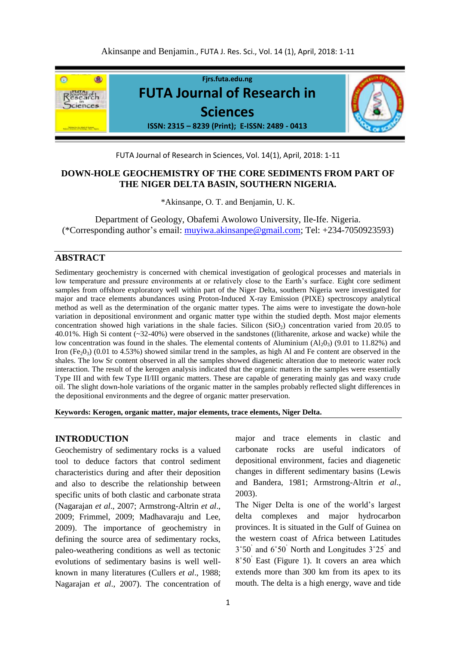#### Akinsanpe and Benjamin., FUTA J. Res. Sci., Vol. 14 (1), April, 2018: 1-11



FUTA Journal of Research in Sciences, Vol. 14(1), April, 2018: 1-11

# **DOWN-HOLE GEOCHEMISTRY OF THE CORE SEDIMENTS FROM PART OF THE NIGER DELTA BASIN, SOUTHERN NIGERIA.**

\*Akinsanpe, O. T. and Benjamin, U. K.

Department of Geology, Obafemi Awolowo University, Ile-Ife. Nigeria. (\*Corresponding author's email: [muyiwa.akinsanpe@gmail.com;](mailto:muyiwa.akinsanpe@gmail.com) Tel: +234-7050923593)

# **ABSTRACT**

Sedimentary geochemistry is concerned with chemical investigation of geological processes and materials in low temperature and pressure environments at or relatively close to the Earth's surface. Eight core sediment samples from offshore exploratory well within part of the Niger Delta, southern Nigeria were investigated for major and trace elements abundances using Proton-Induced X-ray Emission (PIXE) spectroscopy analytical method as well as the determination of the organic matter types. The aims were to investigate the down-hole variation in depositional environment and organic matter type within the studied depth. Most major elements concentration showed high variations in the shale facies. Silicon  $(SiO<sub>2</sub>)$  concentration varied from 20.05 to 40.01%. High Si content (~32-40%) were observed in the sandstones ((litharenite, arkose and wacke) while the low concentration was found in the shales. The elemental contents of Aluminium ( $Al_2O_3$ ) (9.01 to 11.82%) and Iron  $(Fe<sub>2</sub>O<sub>3</sub>)$  (0.01 to 4.53%) showed similar trend in the samples, as high Al and Fe content are observed in the shales. The low Sr content observed in all the samples showed diagenetic alteration due to meteoric water rock interaction. The result of the kerogen analysis indicated that the organic matters in the samples were essentially Type III and with few Type II/III organic matters. These are capable of generating mainly gas and waxy crude oil. The slight down-hole variations of the organic matter in the samples probably reflected slight differences in the depositional environments and the degree of organic matter preservation.

**Keywords: Kerogen, organic matter, major elements, trace elements, Niger Delta.**

### **INTRODUCTION**

Geochemistry of sedimentary rocks is a valued tool to deduce factors that control sediment characteristics during and after their deposition and also to describe the relationship between specific units of both clastic and carbonate strata (Nagarajan *et al*., 2007; Armstrong-Altrin *et al*., 2009; Frimmel, 2009; Madhavaraju and Lee, 2009). The importance of geochemistry in defining the source area of sedimentary rocks, paleo-weathering conditions as well as tectonic evolutions of sedimentary basins is well wellknown in many literatures (Cullers *et al*., 1988; Nagarajan *et al*., 2007). The concentration of

major and trace elements in clastic and carbonate rocks are useful indicators of depositional environment, facies and diagenetic changes in different sedimentary basins (Lewis and Bandera, 1981; Armstrong-Altrin *et al*., 2003).

The Niger Delta is one of the world's largest delta complexes and major hydrocarbon provinces. It is situated in the Gulf of Guinea on the western coast of Africa between Latitudes 3˚50' and 6˚50' North and Longitudes 3˚25' and 8˚50' East (Figure 1). It covers an area which extends more than 300 km from its apex to its mouth. The delta is a high energy, wave and tide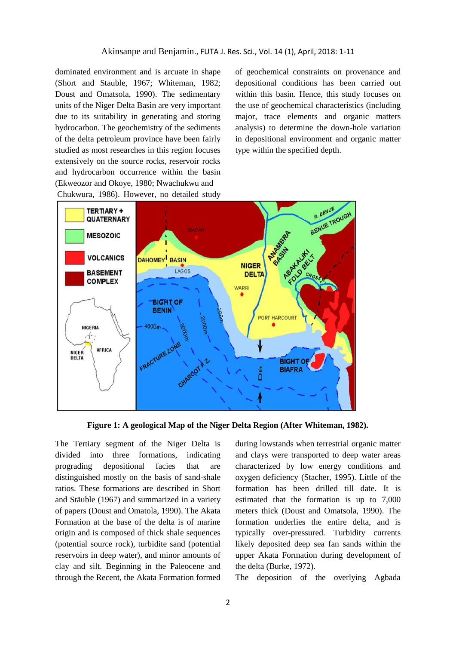dominated environment and is arcuate in shape (Short and Stauble, 1967; Whiteman, 1982; Doust and Omatsola, 1990). The sedimentary units of the Niger Delta Basin are very important due to its suitability in generating and storing hydrocarbon. The geochemistry of the sediments of the delta petroleum province have been fairly studied as most researches in this region focuses extensively on the source rocks, reservoir rocks and hydrocarbon occurrence within the basin (Ekweozor and Okoye, 1980; Nwachukwu and Chukwura, 1986). However, no detailed study of geochemical constraints on provenance and depositional conditions has been carried out within this basin. Hence, this study focuses on the use of geochemical characteristics (including major, trace elements and organic matters analysis) to determine the down-hole variation in depositional environment and organic matter type within the specified depth.



**Figure 1: A geological Map of the Niger Delta Region (After Whiteman, 1982).**

The Tertiary segment of the Niger Delta is divided into three formations, indicating prograding depositional facies that are distinguished mostly on the basis of sand-shale ratios. These formations are described in Short and Stäuble (1967) and summarized in a variety of papers (Doust and Omatola, 1990). The Akata Formation at the base of the delta is of marine origin and is composed of thick shale sequences (potential source rock), turbidite sand (potential reservoirs in deep water), and minor amounts of clay and silt. Beginning in the Paleocene and through the Recent, the Akata Formation formed

during lowstands when terrestrial organic matter and clays were transported to deep water areas characterized by low energy conditions and oxygen deficiency (Stacher, 1995). Little of the formation has been drilled till date. It is estimated that the formation is up to 7,000 meters thick (Doust and Omatsola, 1990). The formation underlies the entire delta, and is typically over-pressured. Turbidity currents likely deposited deep sea fan sands within the upper Akata Formation during development of the delta (Burke, 1972).

The deposition of the overlying Agbada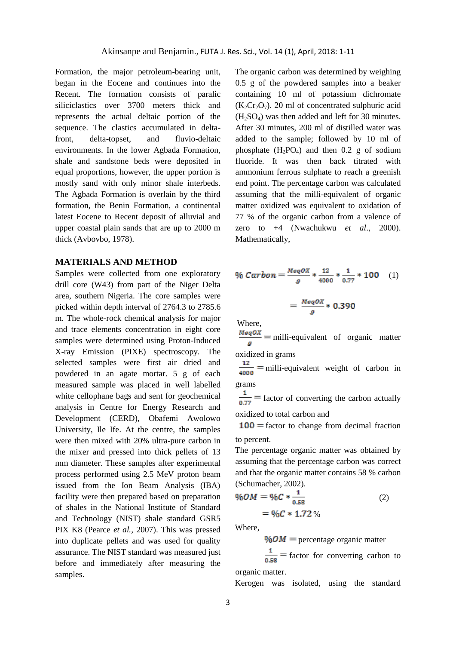Formation, the major petroleum-bearing unit, began in the Eocene and continues into the Recent. The formation consists of paralic siliciclastics over 3700 meters thick and represents the actual deltaic portion of the sequence. The clastics accumulated in deltafront, delta-topset, and fluvio-deltaic environments. In the lower Agbada Formation, shale and sandstone beds were deposited in equal proportions, however, the upper portion is mostly sand with only minor shale interbeds. The Agbada Formation is overlain by the third formation, the Benin Formation, a continental latest Eocene to Recent deposit of alluvial and upper coastal plain sands that are up to 2000 m thick (Avbovbo, 1978).

#### **MATERIALS AND METHOD**

Samples were collected from one exploratory drill core (W43) from part of the Niger Delta area, southern Nigeria. The core samples were picked within depth interval of 2764.3 to 2785.6 m. The whole-rock chemical analysis for major and trace elements concentration in eight core samples were determined using Proton-Induced X-ray Emission (PIXE) spectroscopy. The selected samples were first air dried and powdered in an agate mortar. 5 g of each measured sample was placed in well labelled white cellophane bags and sent for geochemical analysis in Centre for Energy Research and Development (CERD), Obafemi Awolowo University, Ile Ife. At the centre, the samples were then mixed with 20% ultra-pure carbon in the mixer and pressed into thick pellets of 13 mm diameter. These samples after experimental process performed using 2.5 MeV proton beam issued from the Ion Beam Analysis (IBA) facility were then prepared based on preparation of shales in the National Institute of Standard and Technology (NIST) shale standard GSR5 PIX K8 (Pearce *et al.,* 2007). This was pressed into duplicate pellets and was used for quality assurance. The NIST standard was measured just before and immediately after measuring the samples.

The organic carbon was determined by weighing 0.5 g of the powdered samples into a beaker containing 10 ml of potassium dichromate  $(K_2Cr_2O_7)$ . 20 ml of concentrated sulphuric acid  $(H<sub>2</sub>SO<sub>4</sub>)$  was then added and left for 30 minutes. After 30 minutes, 200 ml of distilled water was added to the sample; followed by 10 ml of phosphate  $(H_2PO_4)$  and then 0.2 g of sodium fluoride. It was then back titrated with ammonium ferrous sulphate to reach a greenish end point. The percentage carbon was calculated assuming that the milli-equivalent of organic matter oxidized was equivalent to oxidation of 77 % of the organic carbon from a valence of zero to +4 (Nwachukwu *et al*., 2000). Mathematically,

$$
\% Carbon = \frac{MeqOX}{g} * \frac{12}{4000} * \frac{1}{0.77} * 100 \quad (1)
$$

$$
=\frac{MeqOX}{g}*0.390
$$

Where,

 $\frac{MeqOX}{}$  = milli-equivalent of organic matter

oxidized in grams

 $\frac{12}{4000}$  = milli-equivalent weight of carbon in grams

 $\frac{1}{277}$  = factor of converting the carbon actually

oxidized to total carbon and

 $f(100)$  = factor to change from decimal fraction to percent.

The percentage organic matter was obtained by assuming that the percentage carbon was correct and that the organic matter contains 58 % carbon (Schumacher, 2002).

$$
\%OM = \%C * \frac{1}{0.58}
$$
  
=  $%C * 1.72%$  (2)

Where,

 $\%OM$  = percentage organic matter

$$
\frac{1}{0.58}
$$
 = factor for converting carbon to

organic matter.

Kerogen was isolated, using the standard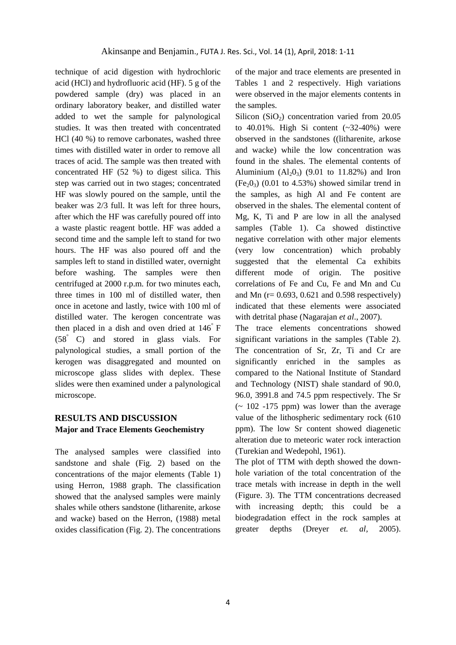technique of acid digestion with hydrochloric acid (HCl) and hydrofluoric acid (HF). 5 g of the powdered sample (dry) was placed in an ordinary laboratory beaker, and distilled water added to wet the sample for palynological studies. It was then treated with concentrated HCl (40 %) to remove carbonates, washed three times with distilled water in order to remove all traces of acid. The sample was then treated with concentrated HF (52 %) to digest silica. This step was carried out in two stages; concentrated HF was slowly poured on the sample, until the beaker was 2/3 full. It was left for three hours, after which the HF was carefully poured off into a waste plastic reagent bottle. HF was added a second time and the sample left to stand for two hours. The HF was also poured off and the samples left to stand in distilled water, overnight before washing. The samples were then centrifuged at 2000 r.p.m. for two minutes each, three times in 100 ml of distilled water, then once in acetone and lastly, twice with 100 ml of distilled water. The kerogen concentrate was then placed in a dish and oven dried at 146° F (58° C) and stored in glass vials. For palynological studies, a small portion of the kerogen was disaggregated and mounted on microscope glass slides with deplex. These slides were then examined under a palynological microscope.

# **RESULTS AND DISCUSSION Major and Trace Elements Geochemistry**

The analysed samples were classified into sandstone and shale (Fig. 2) based on the concentrations of the major elements (Table 1) using Herron, 1988 graph. The classification showed that the analysed samples were mainly shales while others sandstone (litharenite, arkose and wacke) based on the Herron, (1988) metal oxides classification (Fig. 2). The concentrations of the major and trace elements are presented in Tables 1 and 2 respectively. High variations were observed in the major elements contents in the samples.

Silicon  $(SiO<sub>2</sub>)$  concentration varied from 20.05 to  $40.01\%$ . High Si content  $(\sim 32-40\%)$  were observed in the sandstones ((litharenite, arkose and wacke) while the low concentration was found in the shales. The elemental contents of Aluminium  $(A1,0)$  (9.01 to 11.82%) and Iron  $(Fe<sub>2</sub>O<sub>3</sub>)$  (0.01 to 4.53%) showed similar trend in the samples, as high Al and Fe content are observed in the shales. The elemental content of Mg, K, Ti and P are low in all the analysed samples (Table 1). Ca showed distinctive negative correlation with other major elements (very low concentration) which probably suggested that the elemental Ca exhibits different mode of origin. The positive correlations of Fe and Cu, Fe and Mn and Cu and Mn (r= 0.693, 0.621 and 0.598 respectively) indicated that these elements were associated with detrital phase (Nagarajan *et al*., 2007).

The trace elements concentrations showed significant variations in the samples (Table 2). The concentration of Sr, Zr, Ti and Cr are significantly enriched in the samples as compared to the National Institute of Standard and Technology (NIST) shale standard of 90.0, 96.0, 3991.8 and 74.5 ppm respectively. The Sr  $\sim$  102 -175 ppm) was lower than the average value of the lithospheric sedimentary rock (610 ppm). The low Sr content showed diagenetic alteration due to meteoric water rock interaction (Turekian and Wedepohl, 1961).

The plot of TTM with depth showed the downhole variation of the total concentration of the trace metals with increase in depth in the well (Figure. 3). The TTM concentrations decreased with increasing depth; this could be a biodegradation effect in the rock samples at greater depths (Dreyer *et. al,* 2005).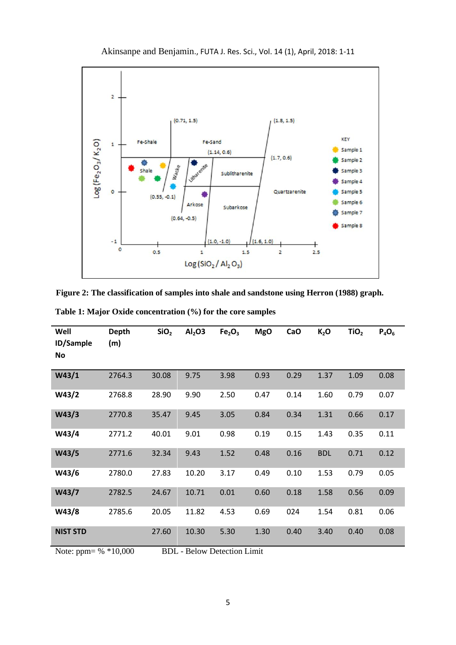

Akinsanpe and Benjamin., FUTA J. Res. Sci., Vol. 14 (1), April, 2018: 1-11

| Table 1: Major Oxide concentration $(\% )$ for the core samples |                     |                  |                                |                                |            |      |                  |                  |          |  |
|-----------------------------------------------------------------|---------------------|------------------|--------------------------------|--------------------------------|------------|------|------------------|------------------|----------|--|
| Well<br>ID/Sample<br><b>No</b>                                  | <b>Depth</b><br>(m) | SiO <sub>2</sub> | Al <sub>2</sub> O <sub>3</sub> | Fe <sub>2</sub> O <sub>3</sub> | <b>MgO</b> | CaO  | K <sub>2</sub> O | TiO <sub>2</sub> | $P_4O_6$ |  |
| W <sub>43/1</sub>                                               | 2764.3              | 30.08            | 9.75                           | 3.98                           | 0.93       | 0.29 | 1.37             | 1.09             | 0.08     |  |
| W <sub>43/2</sub>                                               | 2768.8              | 28.90            | 9.90                           | 2.50                           | 0.47       | 0.14 | 1.60             | 0.79             | 0.07     |  |
| W <sub>43/3</sub>                                               | 2770.8              | 35.47            | 9.45                           | 3.05                           | 0.84       | 0.34 | 1.31             | 0.66             | 0.17     |  |
| W43/4                                                           | 2771.2              | 40.01            | 9.01                           | 0.98                           | 0.19       | 0.15 | 1.43             | 0.35             | 0.11     |  |
| W43/5                                                           | 2771.6              | 32.34            | 9.43                           | 1.52                           | 0.48       | 0.16 | <b>BDL</b>       | 0.71             | 0.12     |  |
| W43/6                                                           | 2780.0              | 27.83            | 10.20                          | 3.17                           | 0.49       | 0.10 | 1.53             | 0.79             | 0.05     |  |
| W43/7                                                           | 2782.5              | 24.67            | 10.71                          | 0.01                           | 0.60       | 0.18 | 1.58             | 0.56             | 0.09     |  |
| W43/8                                                           | 2785.6              | 20.05            | 11.82                          | 4.53                           | 0.69       | 024  | 1.54             | 0.81             | 0.06     |  |
| <b>NIST STD</b>                                                 |                     | 27.60            | 10.30                          | 5.30                           | 1.30       | 0.40 | 3.40             | 0.40             | 0.08     |  |

**Figure 2: The classification of samples into shale and sandstone using Herron (1988) graph.**

Note: ppm= % \*10,000 BDL - Below Detection Limit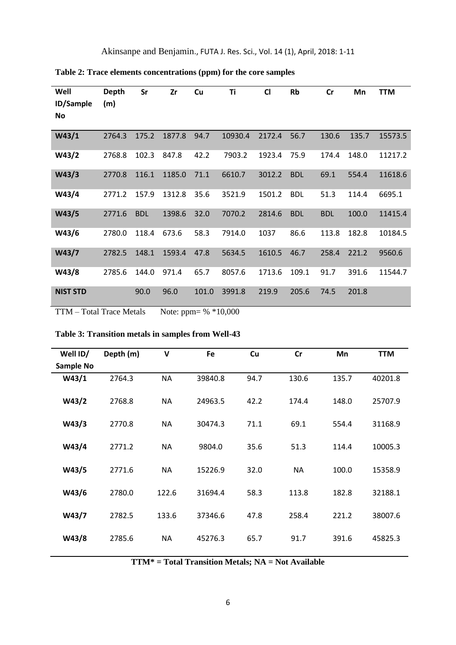| Well                     | <b>Depth</b> | Sr         | Zr                      | Cu    | Ti      | $CI$   | <b>Rb</b>  | cr         | Mn    | <b>TTM</b> |
|--------------------------|--------------|------------|-------------------------|-------|---------|--------|------------|------------|-------|------------|
| ID/Sample                | (m)          |            |                         |       |         |        |            |            |       |            |
| No                       |              |            |                         |       |         |        |            |            |       |            |
| W <sub>43/1</sub>        | 2764.3       | 175.2      | 1877.8                  | 94.7  | 10930.4 | 2172.4 | 56.7       | 130.6      | 135.7 | 15573.5    |
| W <sub>43/2</sub>        | 2768.8       | 102.3      | 847.8                   | 42.2  | 7903.2  | 1923.4 | 75.9       | 174.4      | 148.0 | 11217.2    |
| W <sub>43/3</sub>        | 2770.8       | 116.1      | 1185.0                  | 71.1  | 6610.7  | 3012.2 | <b>BDL</b> | 69.1       | 554.4 | 11618.6    |
| W43/4                    | 2771.2       | 157.9      | 1312.8                  | 35.6  | 3521.9  | 1501.2 | <b>BDL</b> | 51.3       | 114.4 | 6695.1     |
| W43/5                    | 2771.6       | <b>BDL</b> | 1398.6                  | 32.0  | 7070.2  | 2814.6 | <b>BDL</b> | <b>BDL</b> | 100.0 | 11415.4    |
| W43/6                    | 2780.0       | 118.4      | 673.6                   | 58.3  | 7914.0  | 1037   | 86.6       | 113.8      | 182.8 | 10184.5    |
| W43/7                    | 2782.5       | 148.1      | 1593.4                  | 47.8  | 5634.5  | 1610.5 | 46.7       | 258.4      | 221.2 | 9560.6     |
| W43/8                    | 2785.6       | 144.0      | 971.4                   | 65.7  | 8057.6  | 1713.6 | 109.1      | 91.7       | 391.6 | 11544.7    |
| <b>NIST STD</b>          |              | 90.0       | 96.0                    | 101.0 | 3991.8  | 219.9  | 205.6      | 74.5       | 201.8 |            |
| TTM - Total Trace Metals |              |            | Note: ppm= $\%$ *10,000 |       |         |        |            |            |       |            |

**Table 2: Trace elements concentrations (ppm) for the core samples**

| Table 3: Transition metals in samples from Well-43 |  |  |
|----------------------------------------------------|--|--|
|                                                    |  |  |

| Well ID/          | Depth (m) | $\mathsf{V}$ | Fe      | Cu   | $\mathsf{Cr}$ | Mn    | <b>TTM</b> |
|-------------------|-----------|--------------|---------|------|---------------|-------|------------|
|                   |           |              |         |      |               |       |            |
| Sample No         |           |              |         |      |               |       |            |
| W <sub>43/1</sub> | 2764.3    | <b>NA</b>    | 39840.8 | 94.7 | 130.6         | 135.7 | 40201.8    |
| W <sub>43/2</sub> | 2768.8    | <b>NA</b>    | 24963.5 | 42.2 | 174.4         | 148.0 | 25707.9    |
| W <sub>43/3</sub> | 2770.8    | <b>NA</b>    | 30474.3 | 71.1 | 69.1          | 554.4 | 31168.9    |
| W43/4             | 2771.2    | NA           | 9804.0  | 35.6 | 51.3          | 114.4 | 10005.3    |
| W43/5             | 2771.6    | <b>NA</b>    | 15226.9 | 32.0 | <b>NA</b>     | 100.0 | 15358.9    |
| W43/6             | 2780.0    | 122.6        | 31694.4 | 58.3 | 113.8         | 182.8 | 32188.1    |
| W43/7             | 2782.5    | 133.6        | 37346.6 | 47.8 | 258.4         | 221.2 | 38007.6    |
| W43/8             | 2785.6    | <b>NA</b>    | 45276.3 | 65.7 | 91.7          | 391.6 | 45825.3    |

**TTM\* = Total Transition Metals; NA = Not Available**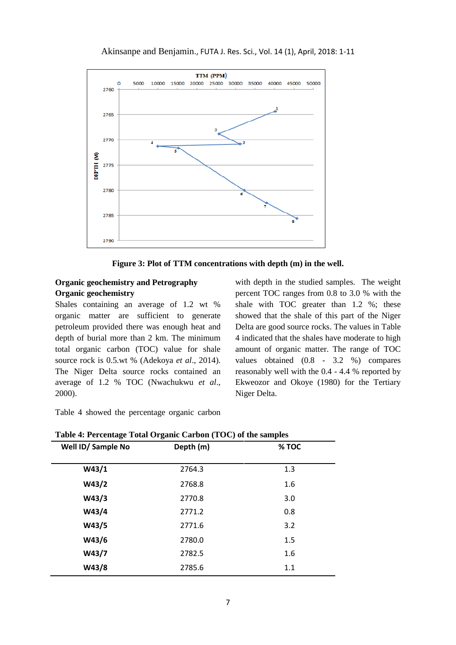

**Figure 3: Plot of TTM concentrations with depth (m) in the well.**

# **Organic geochemistry and Petrography Organic geochemistry**

Shales containing an average of 1.2 wt % organic matter are sufficient to generate petroleum provided there was enough heat and depth of burial more than 2 km. The minimum total organic carbon (TOC) value for shale source rock is 0.5.wt % (Adekoya *et al*., 2014). The Niger Delta source rocks contained an average of 1.2 % TOC (Nwachukwu *et al*., 2000).

with depth in the studied samples. The weight percent TOC ranges from 0.8 to 3.0 % with the shale with TOC greater than 1.2 %; these showed that the shale of this part of the Niger Delta are good source rocks. The values in Table 4 indicated that the shales have moderate to high amount of organic matter. The range of TOC values obtained (0.8 - 3.2 %) compares reasonably well with the 0.4 - 4.4 % reported by Ekweozor and Okoye (1980) for the Tertiary Niger Delta.

|  |  |  | Table 4 showed the percentage organic carbon |  |  |
|--|--|--|----------------------------------------------|--|--|
|--|--|--|----------------------------------------------|--|--|

| Well ID/ Sample No | Depth (m) | % TOC |
|--------------------|-----------|-------|
| W <sub>43/1</sub>  | 2764.3    | 1.3   |
| W <sub>43/2</sub>  | 2768.8    | 1.6   |
| W <sub>43/3</sub>  | 2770.8    | 3.0   |
| W43/4              | 2771.2    | 0.8   |
| W43/5              | 2771.6    | 3.2   |
| W43/6              | 2780.0    | 1.5   |
| W43/7              | 2782.5    | 1.6   |
| W43/8              | 2785.6    | 1.1   |

**Table 4: Percentage Total Organic Carbon (TOC) of the samples**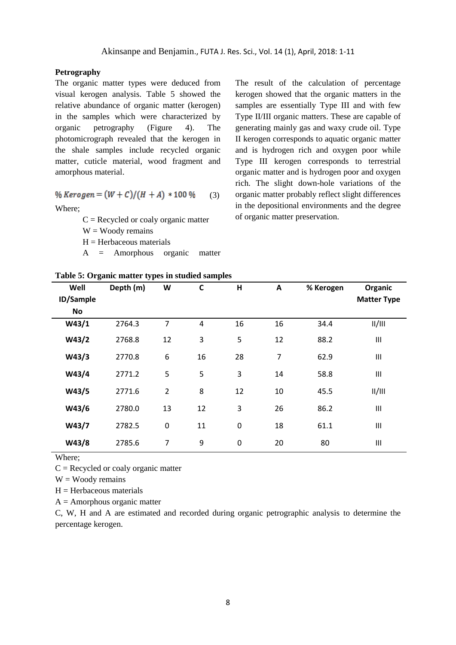### **Petrography**

The organic matter types were deduced from visual kerogen analysis. Table 5 showed the relative abundance of organic matter (kerogen) in the samples which were characterized by organic petrography (Figure 4). The photomicrograph revealed that the kerogen in the shale samples include recycled organic matter, cuticle material, wood fragment and amorphous material.

$$
\% \text{ Kerogen} = (W + C)/(H + A) * 100\% \tag{3}
$$

Where;

 $C =$  Recycled or coaly organic matter

 $W =$  Woody remains

 $H =$  Herbaceous materials

A = Amorphous organic matter

The result of the calculation of percentage kerogen showed that the organic matters in the samples are essentially Type III and with few Type II/III organic matters. These are capable of generating mainly gas and waxy crude oil. Type II kerogen corresponds to aquatic organic matter and is hydrogen rich and oxygen poor while Type III kerogen corresponds to terrestrial organic matter and is hydrogen poor and oxygen rich. The slight down-hole variations of the organic matter probably reflect slight differences in the depositional environments and the degree of organic matter preservation.

| Well              | Depth (m) | W                | C  | $\mathsf{H}$ | A              | % Kerogen | Organic            |
|-------------------|-----------|------------------|----|--------------|----------------|-----------|--------------------|
| ID/Sample         |           |                  |    |              |                |           | <b>Matter Type</b> |
| No                |           |                  |    |              |                |           |                    |
| W43/1             | 2764.3    | $\overline{7}$   | 4  | 16           | 16             | 34.4      | II/III             |
| W <sub>43/2</sub> | 2768.8    | 12               | 3  | 5            | 12             | 88.2      | $\mathbf{III}$     |
| W <sub>43/3</sub> | 2770.8    | $\boldsymbol{6}$ | 16 | 28           | $\overline{7}$ | 62.9      | Ш                  |
| W43/4             | 2771.2    | 5                | 5  | 3            | 14             | 58.8      | $\mathbf{III}$     |
| W43/5             | 2771.6    | $\overline{2}$   | 8  | 12           | 10             | 45.5      | II/III             |
| W43/6             | 2780.0    | 13               | 12 | 3            | 26             | 86.2      | III                |
| W43/7             | 2782.5    | $\mathbf 0$      | 11 | $\pmb{0}$    | 18             | 61.1      | $\mathbf{III}$     |
| W43/8             | 2785.6    | 7                | 9  | $\mathbf 0$  | 20             | 80        | Ш                  |

Where;

 $C =$  Recycled or coaly organic matter

 $W = W \cdot \text{v}$  remains

 $H =$  Herbaceous materials

 $A =$  Amorphous organic matter

C, W, H and A are estimated and recorded during organic petrographic analysis to determine the percentage kerogen.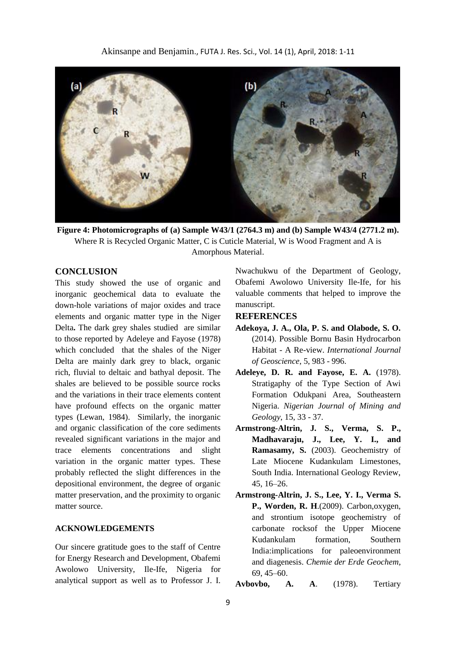

**Figure 4: Photomicrographs of (a) Sample W43/1 (2764.3 m) and (b) Sample W43/4 (2771.2 m).** Where R is Recycled Organic Matter, C is Cuticle Material, W is Wood Fragment and A is Amorphous Material.

### **CONCLUSION**

This study showed the use of organic and inorganic geochemical data to evaluate the down-hole variations of major oxides and trace elements and organic matter type in the Niger Delta**.** The dark grey shales studied are similar to those reported by Adeleye and Fayose (1978) which concluded that the shales of the Niger Delta are mainly dark grey to black, organic rich, fluvial to deltaic and bathyal deposit. The shales are believed to be possible source rocks and the variations in their trace elements content have profound effects on the organic matter types (Lewan, 1984). Similarly, the inorganic and organic classification of the core sediments revealed significant variations in the major and trace elements concentrations and slight variation in the organic matter types. These probably reflected the slight differences in the depositional environment, the degree of organic matter preservation, and the proximity to organic matter source.

#### **ACKNOWLEDGEMENTS**

Our sincere gratitude goes to the staff of Centre for Energy Research and Development, Obafemi Awolowo University, Ile-Ife, Nigeria for analytical support as well as to Professor J. I. Nwachukwu of the Department of Geology, Obafemi Awolowo University Ile-Ife, for his valuable comments that helped to improve the manuscript.

#### **REFERENCES**

- **Adekoya, J. A., Ola, P. S. and Olabode, S. O.** (2014). Possible Bornu Basin Hydrocarbon Habitat - A Re-view. *International Journal of Geoscience*, 5, 983 - 996.
- **Adeleye, D. R. and Fayose, E. A.** (1978). Stratigaphy of the Type Section of Awi Formation Odukpani Area, Southeastern Nigeria. *Nigerian Journal of Mining and Geology*, 15, 33 - 37.
- **Armstrong-Altrin, J. S., Verma, S. P., Madhavaraju, J., Lee, Y. I., and Ramasamy, S.** (2003). Geochemistry of Late Miocene Kudankulam Limestones, South India. International Geology Review, 45, 16–26.
- **Armstrong-Altrin, J. S., Lee, Y. I., Verma S. P., Worden, R. H**.(2009). Carbon,oxygen, and strontium isotope geochemistry of carbonate rocksof the Upper Miocene Kudankulam formation, Southern India:implications for paleoenvironment and diagenesis. *Chemie der Erde Geochem,* 69, 45–60.

**Avbovbo, A. A**. (1978). Tertiary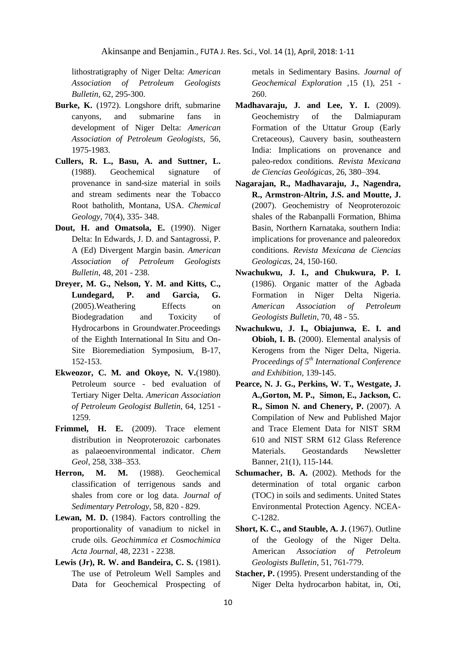lithostratigraphy of Niger Delta: *American Association of Petroleum Geologists Bulletin*, 62, 295-300.

- **Burke, K.** (1972). Longshore drift, submarine canyons, and submarine fans in development of Niger Delta: *American Association of Petroleum Geologists*, 56, 1975-1983.
- **Cullers, R. L., Basu, A. and Suttner, L.** (1988). Geochemical signature of provenance in sand-size material in soils and stream sediments near the Tobacco Root batholith, Montana, USA. *Chemical Geology*, 70(4), 335- 348.
- **Dout, H. and Omatsola, E.** (1990). Niger Delta: In Edwards, J. D. and Santagrossi, P. A (Ed) Divergent Margin basin. *American Association of Petroleum Geologists Bulletin*, 48, 201 - 238.
- **Dreyer, M. G., Nelson, Y. M. and Kitts, C., Lundegard, P. and Garcia, G.** (2005).Weathering Effects on Biodegradation and Toxicity of Hydrocarbons in Groundwater.Proceedings of the Eighth International In Situ and On-Site Bioremediation Symposium, B-17, 152-153.
- **Ekweozor, C. M. and Okoye, N. V.**(1980). Petroleum source - bed evaluation of Tertiary Niger Delta. *American Association of Petroleum Geologist Bulletin,* 64, 1251 - 1259.
- **Frimmel, H. E.** (2009). Trace element distribution in Neoproterozoic carbonates as palaeoenvironmental indicator*. Chem Geol*, 258, 338–353.
- Herron, M. M. (1988). Geochemical classification of terrigenous sands and shales from core or log data. *Journal of Sedimentary Petrology*, 58, 820 - 829.
- **Lewan, M. D.** (1984). Factors controlling the proportionality of vanadium to nickel in crude oils. *Geochimmica et Cosmochimica Acta Journal,* 48, 2231 - 2238.
- **Lewis (Jr), R. W. and Bandeira, C. S.** (1981). The use of Petroleum Well Samples and Data for Geochemical Prospecting of

metals in Sedimentary Basins. *Journal of Geochemical Exploration* ,15 (1), 251 - 260.

- **Madhavaraju, J. and Lee, Y. I.** (2009). Geochemistry of the Dalmiapuram Formation of the Uttatur Group (Early Cretaceous), Cauvery basin, southeastern India: Implications on provenance and paleo-redox conditions*. Revista Mexicana de Ciencias Geológicas*, 26, 380–394.
- **Nagarajan, R., Madhavaraju, J., Nagendra, R., Armstron-Altrin, J.S. and Moutte, J.** (2007). Geochemistry of Neoproterozoic shales of the Rabanpalli Formation, Bhima Basin, Northern Karnataka, southern India: implications for provenance and paleoredox conditions*. Revista Mexicana de Ciencias Geologicas*, 24, 150-160.
- **Nwachukwu, J. I., and Chukwura, P. I.** (1986). Organic matter of the Agbada Formation in Niger Delta Nigeria. *American Association of Petroleum Geologists Bulletin*, 70, 48 - 55.
- **Nwachukwu, J. I., Obiajunwa, E. I. and Obioh, I. B.** (2000). Elemental analysis of Kerogens from the Niger Delta, Nigeria. *Proceedings of 5th International Conference and Exhibition,* 139-145.
- **Pearce, N. J. G., Perkins, W. T., Westgate, J. A.,Gorton, M. P., Simon, E., Jackson, C. R., Simon N. and Chenery, P. (2007). A** Compilation of New and Published Major and Trace Element Data for NIST SRM 610 and NIST SRM 612 Glass Reference Materials. Geostandards Newsletter Banner, 21(1), 115-144.
- **Schumacher, B. A.** (2002). Methods for the determination of total organic carbon (TOC) in soils and sediments. United States Environmental Protection Agency. NCEA-C-1282.
- **Short, K. C., and Stauble, A. J.** (1967). Outline of the Geology of the Niger Delta. American *Association of Petroleum Geologists Bulletin*, 51, 761-779.
- **Stacher, P.** (1995). Present understanding of the Niger Delta hydrocarbon habitat, in, Oti,